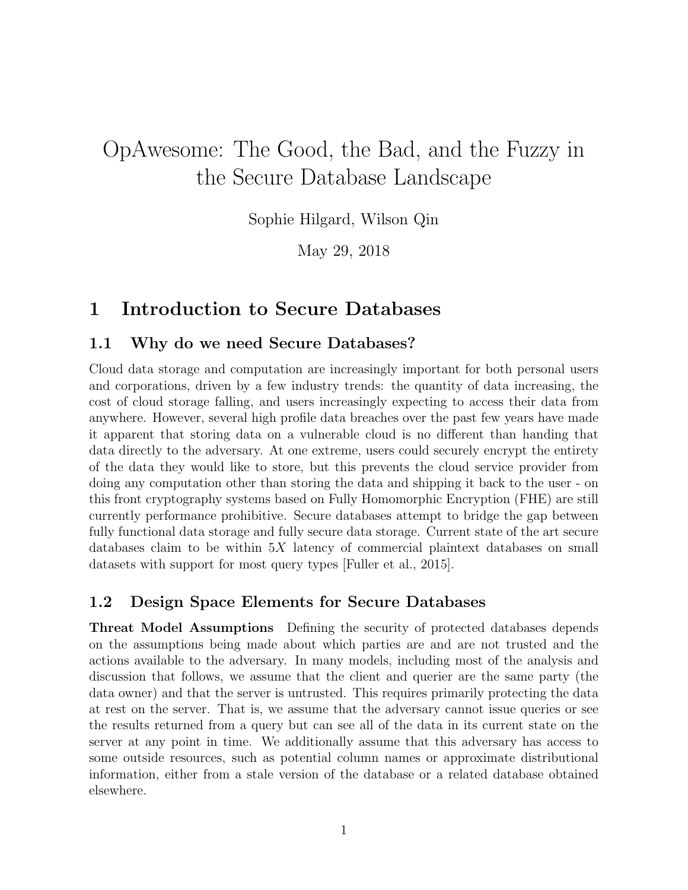# OpAwesome: The Good, the Bad, and the Fuzzy in the Secure Database Landscape

Sophie Hilgard, Wilson Qin

May 29, 2018

# 1 Introduction to Secure Databases

### 1.1 Why do we need Secure Databases?

Cloud data storage and computation are increasingly important for both personal users and corporations, driven by a few industry trends: the quantity of data increasing, the cost of cloud storage falling, and users increasingly expecting to access their data from anywhere. However, several high profile data breaches over the past few years have made it apparent that storing data on a vulnerable cloud is no different than handing that data directly to the adversary. At one extreme, users could securely encrypt the entirety of the data they would like to store, but this prevents the cloud service provider from doing any computation other than storing the data and shipping it back to the user - on this front cryptography systems based on Fully Homomorphic Encryption (FHE) are still currently performance prohibitive. Secure databases attempt to bridge the gap between fully functional data storage and fully secure data storage. Current state of the art secure databases claim to be within  $5X$  latency of commercial plaintext databases on small datasets with support for most query types [Fuller et al., 2015].

### 1.2 Design Space Elements for Secure Databases

Threat Model Assumptions Defining the security of protected databases depends on the assumptions being made about which parties are and are not trusted and the actions available to the adversary. In many models, including most of the analysis and discussion that follows, we assume that the client and querier are the same party (the data owner) and that the server is untrusted. This requires primarily protecting the data at rest on the server. That is, we assume that the adversary cannot issue queries or see the results returned from a query but can see all of the data in its current state on the server at any point in time. We additionally assume that this adversary has access to some outside resources, such as potential column names or approximate distributional information, either from a stale version of the database or a related database obtained elsewhere.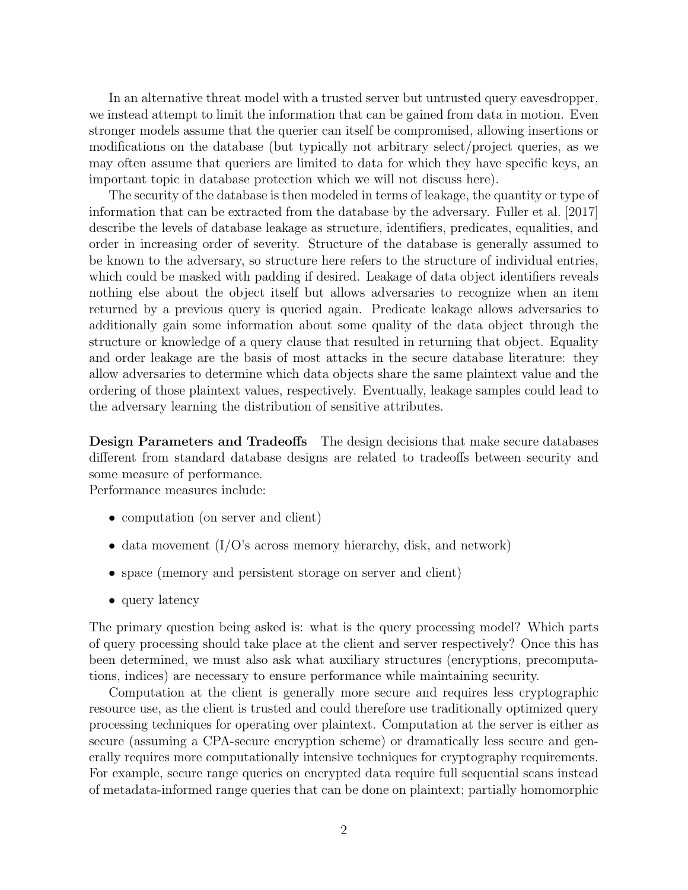In an alternative threat model with a trusted server but untrusted query eavesdropper, we instead attempt to limit the information that can be gained from data in motion. Even stronger models assume that the querier can itself be compromised, allowing insertions or modifications on the database (but typically not arbitrary select/project queries, as we may often assume that queriers are limited to data for which they have specific keys, an important topic in database protection which we will not discuss here).

The security of the database is then modeled in terms of leakage, the quantity or type of information that can be extracted from the database by the adversary. Fuller et al. [2017] describe the levels of database leakage as structure, identifiers, predicates, equalities, and order in increasing order of severity. Structure of the database is generally assumed to be known to the adversary, so structure here refers to the structure of individual entries, which could be masked with padding if desired. Leakage of data object identifiers reveals nothing else about the object itself but allows adversaries to recognize when an item returned by a previous query is queried again. Predicate leakage allows adversaries to additionally gain some information about some quality of the data object through the structure or knowledge of a query clause that resulted in returning that object. Equality and order leakage are the basis of most attacks in the secure database literature: they allow adversaries to determine which data objects share the same plaintext value and the ordering of those plaintext values, respectively. Eventually, leakage samples could lead to the adversary learning the distribution of sensitive attributes.

Design Parameters and Tradeoffs The design decisions that make secure databases different from standard database designs are related to tradeoffs between security and some measure of performance.

Performance measures include:

- computation (on server and client)
- data movement  $(I/O)$ 's across memory hierarchy, disk, and network)
- space (memory and persistent storage on server and client)
- query latency

The primary question being asked is: what is the query processing model? Which parts of query processing should take place at the client and server respectively? Once this has been determined, we must also ask what auxiliary structures (encryptions, precomputations, indices) are necessary to ensure performance while maintaining security.

Computation at the client is generally more secure and requires less cryptographic resource use, as the client is trusted and could therefore use traditionally optimized query processing techniques for operating over plaintext. Computation at the server is either as secure (assuming a CPA-secure encryption scheme) or dramatically less secure and generally requires more computationally intensive techniques for cryptography requirements. For example, secure range queries on encrypted data require full sequential scans instead of metadata-informed range queries that can be done on plaintext; partially homomorphic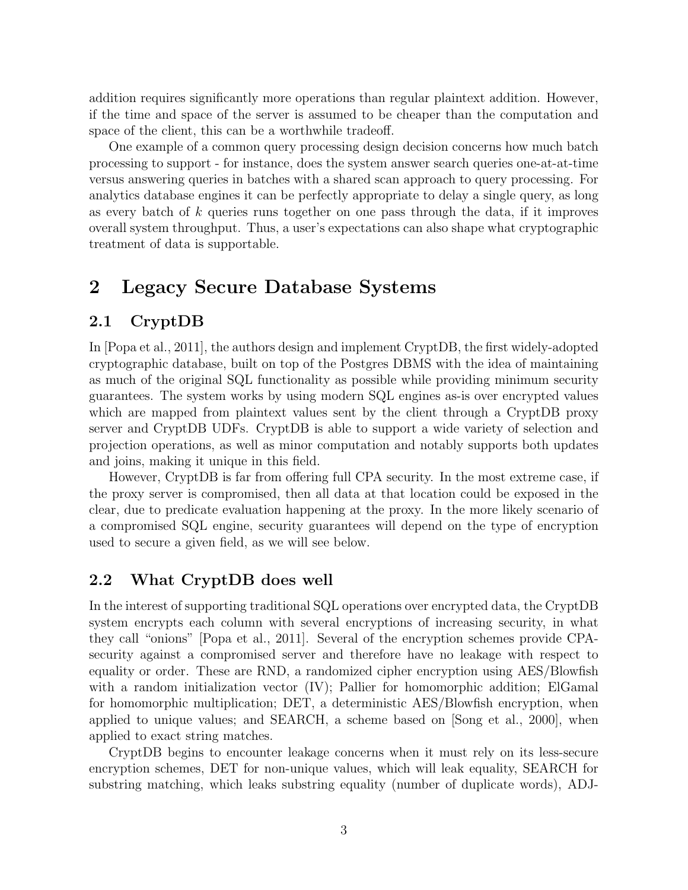addition requires significantly more operations than regular plaintext addition. However, if the time and space of the server is assumed to be cheaper than the computation and space of the client, this can be a worthwhile tradeoff.

One example of a common query processing design decision concerns how much batch processing to support - for instance, does the system answer search queries one-at-at-time versus answering queries in batches with a shared scan approach to query processing. For analytics database engines it can be perfectly appropriate to delay a single query, as long as every batch of  $k$  queries runs together on one pass through the data, if it improves overall system throughput. Thus, a user's expectations can also shape what cryptographic treatment of data is supportable.

# 2 Legacy Secure Database Systems

### 2.1 CryptDB

In [Popa et al., 2011], the authors design and implement CryptDB, the first widely-adopted cryptographic database, built on top of the Postgres DBMS with the idea of maintaining as much of the original SQL functionality as possible while providing minimum security guarantees. The system works by using modern SQL engines as-is over encrypted values which are mapped from plaintext values sent by the client through a CryptDB proxy server and CryptDB UDFs. CryptDB is able to support a wide variety of selection and projection operations, as well as minor computation and notably supports both updates and joins, making it unique in this field.

However, CryptDB is far from offering full CPA security. In the most extreme case, if the proxy server is compromised, then all data at that location could be exposed in the clear, due to predicate evaluation happening at the proxy. In the more likely scenario of a compromised SQL engine, security guarantees will depend on the type of encryption used to secure a given field, as we will see below.

### 2.2 What CryptDB does well

In the interest of supporting traditional SQL operations over encrypted data, the CryptDB system encrypts each column with several encryptions of increasing security, in what they call "onions" [Popa et al., 2011]. Several of the encryption schemes provide CPAsecurity against a compromised server and therefore have no leakage with respect to equality or order. These are RND, a randomized cipher encryption using AES/Blowfish with a random initialization vector (IV); Pallier for homomorphic addition; ElGamal for homomorphic multiplication; DET, a deterministic AES/Blowfish encryption, when applied to unique values; and SEARCH, a scheme based on [Song et al., 2000], when applied to exact string matches.

CryptDB begins to encounter leakage concerns when it must rely on its less-secure encryption schemes, DET for non-unique values, which will leak equality, SEARCH for substring matching, which leaks substring equality (number of duplicate words), ADJ-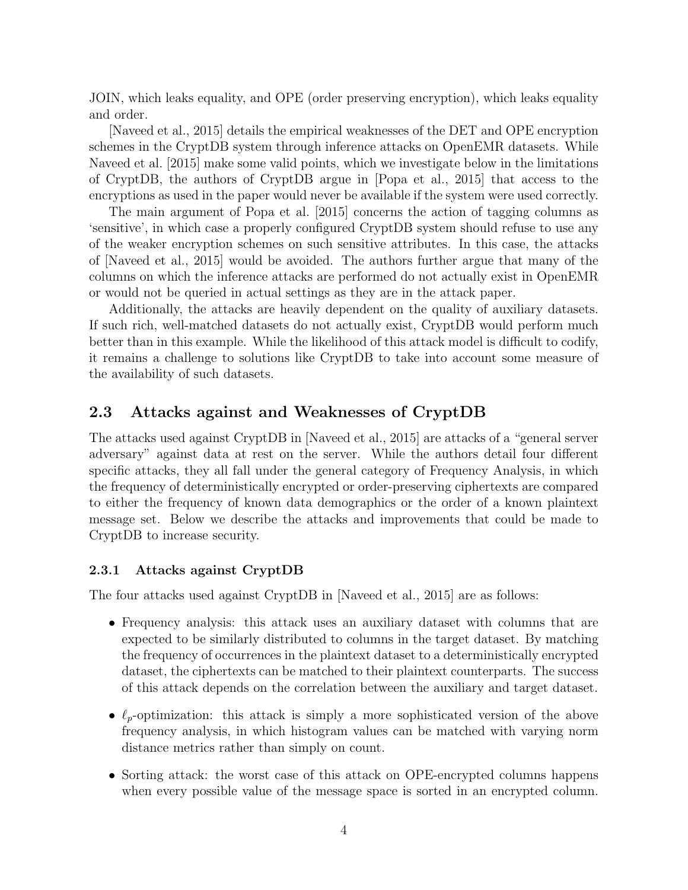JOIN, which leaks equality, and OPE (order preserving encryption), which leaks equality and order.

[Naveed et al., 2015] details the empirical weaknesses of the DET and OPE encryption schemes in the CryptDB system through inference attacks on OpenEMR datasets. While Naveed et al. [2015] make some valid points, which we investigate below in the limitations of CryptDB, the authors of CryptDB argue in [Popa et al., 2015] that access to the encryptions as used in the paper would never be available if the system were used correctly.

The main argument of Popa et al. [2015] concerns the action of tagging columns as 'sensitive', in which case a properly configured CryptDB system should refuse to use any of the weaker encryption schemes on such sensitive attributes. In this case, the attacks of [Naveed et al., 2015] would be avoided. The authors further argue that many of the columns on which the inference attacks are performed do not actually exist in OpenEMR or would not be queried in actual settings as they are in the attack paper.

Additionally, the attacks are heavily dependent on the quality of auxiliary datasets. If such rich, well-matched datasets do not actually exist, CryptDB would perform much better than in this example. While the likelihood of this attack model is difficult to codify, it remains a challenge to solutions like CryptDB to take into account some measure of the availability of such datasets.

### 2.3 Attacks against and Weaknesses of CryptDB

The attacks used against CryptDB in [Naveed et al., 2015] are attacks of a "general server adversary" against data at rest on the server. While the authors detail four different specific attacks, they all fall under the general category of Frequency Analysis, in which the frequency of deterministically encrypted or order-preserving ciphertexts are compared to either the frequency of known data demographics or the order of a known plaintext message set. Below we describe the attacks and improvements that could be made to CryptDB to increase security.

#### 2.3.1 Attacks against CryptDB

The four attacks used against CryptDB in [Naveed et al., 2015] are as follows:

- Frequency analysis: this attack uses an auxiliary dataset with columns that are expected to be similarly distributed to columns in the target dataset. By matching the frequency of occurrences in the plaintext dataset to a deterministically encrypted dataset, the ciphertexts can be matched to their plaintext counterparts. The success of this attack depends on the correlation between the auxiliary and target dataset.
- $\ell_p$ -optimization: this attack is simply a more sophisticated version of the above frequency analysis, in which histogram values can be matched with varying norm distance metrics rather than simply on count.
- Sorting attack: the worst case of this attack on OPE-encrypted columns happens when every possible value of the message space is sorted in an encrypted column.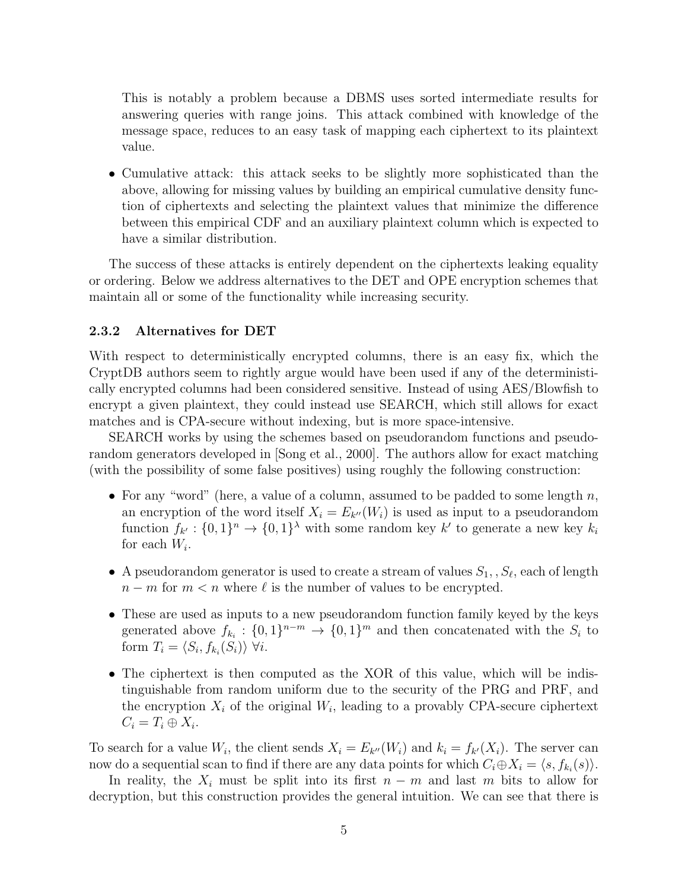This is notably a problem because a DBMS uses sorted intermediate results for answering queries with range joins. This attack combined with knowledge of the message space, reduces to an easy task of mapping each ciphertext to its plaintext value.

• Cumulative attack: this attack seeks to be slightly more sophisticated than the above, allowing for missing values by building an empirical cumulative density function of ciphertexts and selecting the plaintext values that minimize the difference between this empirical CDF and an auxiliary plaintext column which is expected to have a similar distribution.

The success of these attacks is entirely dependent on the ciphertexts leaking equality or ordering. Below we address alternatives to the DET and OPE encryption schemes that maintain all or some of the functionality while increasing security.

#### 2.3.2 Alternatives for DET

With respect to deterministically encrypted columns, there is an easy fix, which the CryptDB authors seem to rightly argue would have been used if any of the deterministically encrypted columns had been considered sensitive. Instead of using AES/Blowfish to encrypt a given plaintext, they could instead use SEARCH, which still allows for exact matches and is CPA-secure without indexing, but is more space-intensive.

SEARCH works by using the schemes based on pseudorandom functions and pseudorandom generators developed in [Song et al., 2000]. The authors allow for exact matching (with the possibility of some false positives) using roughly the following construction:

- For any "word" (here, a value of a column, assumed to be padded to some length  $n$ , an encryption of the word itself  $X_i = E_{k''}(W_i)$  is used as input to a pseudorandom function  $f_{k'}: \{0,1\}^n \to \{0,1\}^{\lambda}$  with some random key k' to generate a new key  $k_i$ for each  $W_i$ .
- A pseudorandom generator is used to create a stream of values  $S_1, S_\ell$ , each of length  $n - m$  for  $m < n$  where  $\ell$  is the number of values to be encrypted.
- These are used as inputs to a new pseudorandom function family keyed by the keys generated above  $f_{k_i}: \{0,1\}^{n-m} \to \{0,1\}^m$  and then concatenated with the  $S_i$  to form  $T_i = \langle S_i, f_{k_i}(S_i) \rangle \ \forall i$ .
- The ciphertext is then computed as the XOR of this value, which will be indistinguishable from random uniform due to the security of the PRG and PRF, and the encryption  $X_i$  of the original  $W_i$ , leading to a provably CPA-secure ciphertext  $C_i = T_i \oplus X_i.$

To search for a value  $W_i$ , the client sends  $X_i = E_{k''}(W_i)$  and  $k_i = f_{k'}(X_i)$ . The server can now do a sequential scan to find if there are any data points for which  $C_i \oplus X_i = \langle s, f_{k_i}(s) \rangle$ .

In reality, the  $X_i$  must be split into its first  $n - m$  and last m bits to allow for decryption, but this construction provides the general intuition. We can see that there is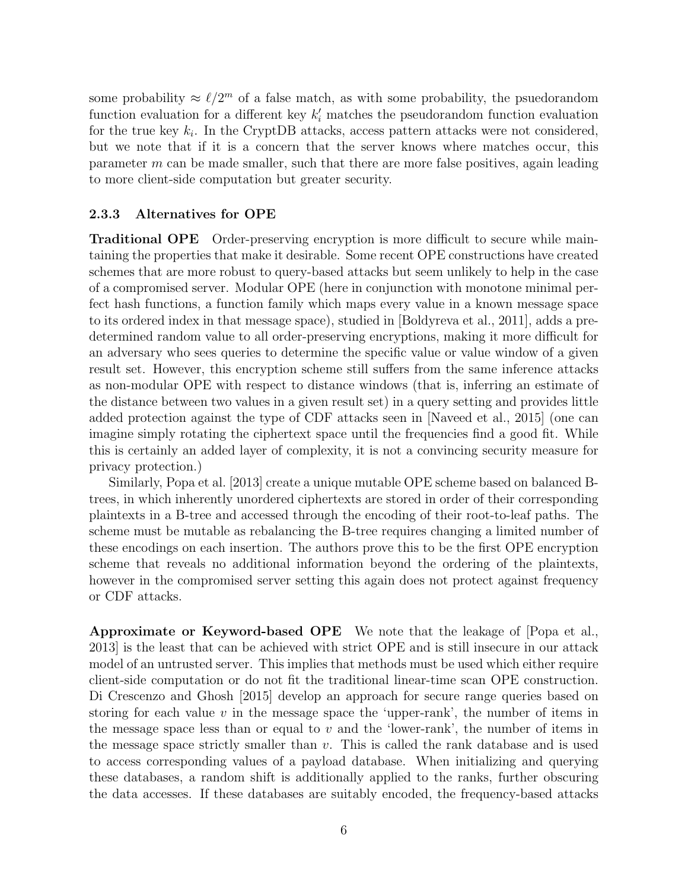some probability  $\approx \ell/2^m$  of a false match, as with some probability, the psuedorandom function evaluation for a different key  $k'_{i}$  matches the pseudorandom function evaluation for the true key  $k_i$ . In the CryptDB attacks, access pattern attacks were not considered, but we note that if it is a concern that the server knows where matches occur, this parameter m can be made smaller, such that there are more false positives, again leading to more client-side computation but greater security.

#### 2.3.3 Alternatives for OPE

Traditional OPE Order-preserving encryption is more difficult to secure while maintaining the properties that make it desirable. Some recent OPE constructions have created schemes that are more robust to query-based attacks but seem unlikely to help in the case of a compromised server. Modular OPE (here in conjunction with monotone minimal perfect hash functions, a function family which maps every value in a known message space to its ordered index in that message space), studied in [Boldyreva et al., 2011], adds a predetermined random value to all order-preserving encryptions, making it more difficult for an adversary who sees queries to determine the specific value or value window of a given result set. However, this encryption scheme still suffers from the same inference attacks as non-modular OPE with respect to distance windows (that is, inferring an estimate of the distance between two values in a given result set) in a query setting and provides little added protection against the type of CDF attacks seen in [Naveed et al., 2015] (one can imagine simply rotating the ciphertext space until the frequencies find a good fit. While this is certainly an added layer of complexity, it is not a convincing security measure for privacy protection.)

Similarly, Popa et al. [2013] create a unique mutable OPE scheme based on balanced Btrees, in which inherently unordered ciphertexts are stored in order of their corresponding plaintexts in a B-tree and accessed through the encoding of their root-to-leaf paths. The scheme must be mutable as rebalancing the B-tree requires changing a limited number of these encodings on each insertion. The authors prove this to be the first OPE encryption scheme that reveals no additional information beyond the ordering of the plaintexts, however in the compromised server setting this again does not protect against frequency or CDF attacks.

Approximate or Keyword-based OPE We note that the leakage of [Popa et al., 2013] is the least that can be achieved with strict OPE and is still insecure in our attack model of an untrusted server. This implies that methods must be used which either require client-side computation or do not fit the traditional linear-time scan OPE construction. Di Crescenzo and Ghosh [2015] develop an approach for secure range queries based on storing for each value  $v$  in the message space the 'upper-rank', the number of items in the message space less than or equal to  $v$  and the 'lower-rank', the number of items in the message space strictly smaller than  $v$ . This is called the rank database and is used to access corresponding values of a payload database. When initializing and querying these databases, a random shift is additionally applied to the ranks, further obscuring the data accesses. If these databases are suitably encoded, the frequency-based attacks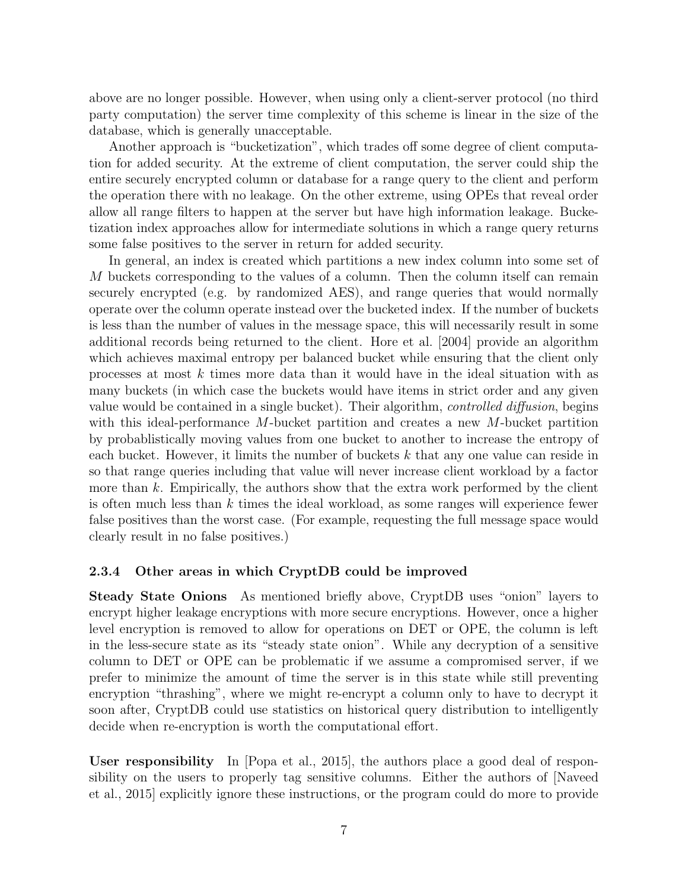above are no longer possible. However, when using only a client-server protocol (no third party computation) the server time complexity of this scheme is linear in the size of the database, which is generally unacceptable.

Another approach is "bucketization", which trades off some degree of client computation for added security. At the extreme of client computation, the server could ship the entire securely encrypted column or database for a range query to the client and perform the operation there with no leakage. On the other extreme, using OPEs that reveal order allow all range filters to happen at the server but have high information leakage. Bucketization index approaches allow for intermediate solutions in which a range query returns some false positives to the server in return for added security.

In general, an index is created which partitions a new index column into some set of M buckets corresponding to the values of a column. Then the column itself can remain securely encrypted (e.g. by randomized AES), and range queries that would normally operate over the column operate instead over the bucketed index. If the number of buckets is less than the number of values in the message space, this will necessarily result in some additional records being returned to the client. Hore et al. [2004] provide an algorithm which achieves maximal entropy per balanced bucket while ensuring that the client only processes at most k times more data than it would have in the ideal situation with as many buckets (in which case the buckets would have items in strict order and any given value would be contained in a single bucket). Their algorithm, controlled diffusion, begins with this ideal-performance M-bucket partition and creates a new M-bucket partition by probablistically moving values from one bucket to another to increase the entropy of each bucket. However, it limits the number of buckets k that any one value can reside in so that range queries including that value will never increase client workload by a factor more than  $k$ . Empirically, the authors show that the extra work performed by the client is often much less than k times the ideal workload, as some ranges will experience fewer false positives than the worst case. (For example, requesting the full message space would clearly result in no false positives.)

#### 2.3.4 Other areas in which CryptDB could be improved

Steady State Onions As mentioned briefly above, CryptDB uses "onion" layers to encrypt higher leakage encryptions with more secure encryptions. However, once a higher level encryption is removed to allow for operations on DET or OPE, the column is left in the less-secure state as its "steady state onion". While any decryption of a sensitive column to DET or OPE can be problematic if we assume a compromised server, if we prefer to minimize the amount of time the server is in this state while still preventing encryption "thrashing", where we might re-encrypt a column only to have to decrypt it soon after, CryptDB could use statistics on historical query distribution to intelligently decide when re-encryption is worth the computational effort.

User responsibility In [Popa et al., 2015], the authors place a good deal of responsibility on the users to properly tag sensitive columns. Either the authors of [Naveed et al., 2015] explicitly ignore these instructions, or the program could do more to provide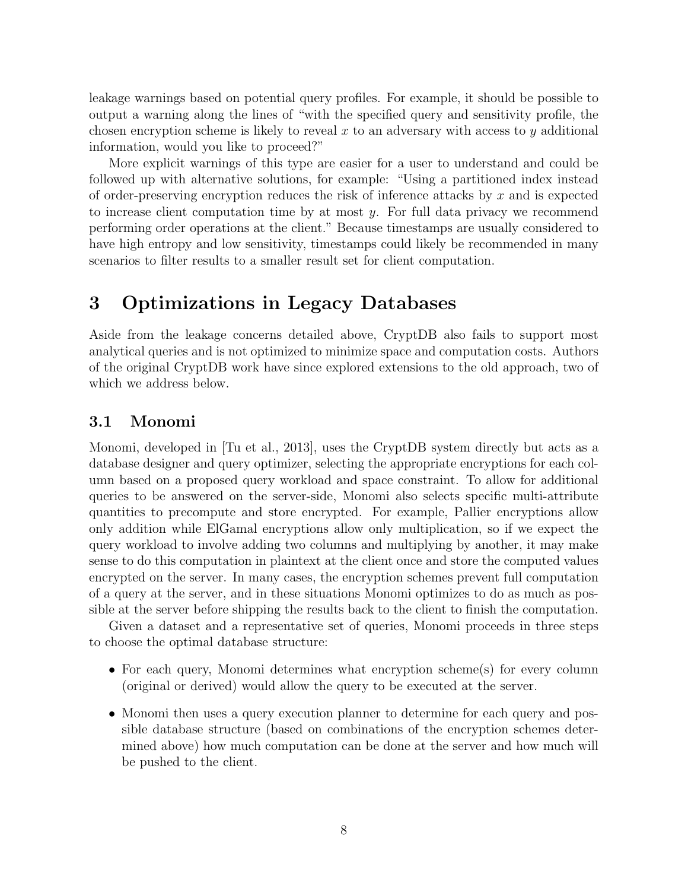leakage warnings based on potential query profiles. For example, it should be possible to output a warning along the lines of "with the specified query and sensitivity profile, the chosen encryption scheme is likely to reveal x to an adversary with access to y additional information, would you like to proceed?"

More explicit warnings of this type are easier for a user to understand and could be followed up with alternative solutions, for example: "Using a partitioned index instead of order-preserving encryption reduces the risk of inference attacks by  $x$  and is expected to increase client computation time by at most  $y$ . For full data privacy we recommend performing order operations at the client." Because timestamps are usually considered to have high entropy and low sensitivity, timestamps could likely be recommended in many scenarios to filter results to a smaller result set for client computation.

# 3 Optimizations in Legacy Databases

Aside from the leakage concerns detailed above, CryptDB also fails to support most analytical queries and is not optimized to minimize space and computation costs. Authors of the original CryptDB work have since explored extensions to the old approach, two of which we address below.

### 3.1 Monomi

Monomi, developed in [Tu et al., 2013], uses the CryptDB system directly but acts as a database designer and query optimizer, selecting the appropriate encryptions for each column based on a proposed query workload and space constraint. To allow for additional queries to be answered on the server-side, Monomi also selects specific multi-attribute quantities to precompute and store encrypted. For example, Pallier encryptions allow only addition while ElGamal encryptions allow only multiplication, so if we expect the query workload to involve adding two columns and multiplying by another, it may make sense to do this computation in plaintext at the client once and store the computed values encrypted on the server. In many cases, the encryption schemes prevent full computation of a query at the server, and in these situations Monomi optimizes to do as much as possible at the server before shipping the results back to the client to finish the computation.

Given a dataset and a representative set of queries, Monomi proceeds in three steps to choose the optimal database structure:

- For each query, Monomi determines what encryption scheme(s) for every column (original or derived) would allow the query to be executed at the server.
- Monomi then uses a query execution planner to determine for each query and possible database structure (based on combinations of the encryption schemes determined above) how much computation can be done at the server and how much will be pushed to the client.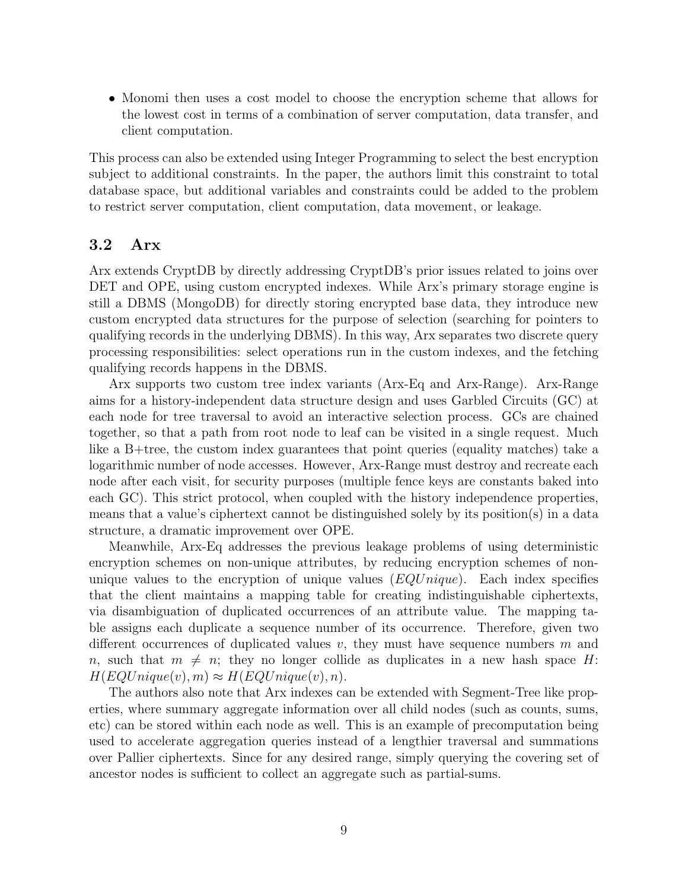• Monomi then uses a cost model to choose the encryption scheme that allows for the lowest cost in terms of a combination of server computation, data transfer, and client computation.

This process can also be extended using Integer Programming to select the best encryption subject to additional constraints. In the paper, the authors limit this constraint to total database space, but additional variables and constraints could be added to the problem to restrict server computation, client computation, data movement, or leakage.

### 3.2 Arx

Arx extends CryptDB by directly addressing CryptDB's prior issues related to joins over DET and OPE, using custom encrypted indexes. While Arx's primary storage engine is still a DBMS (MongoDB) for directly storing encrypted base data, they introduce new custom encrypted data structures for the purpose of selection (searching for pointers to qualifying records in the underlying DBMS). In this way, Arx separates two discrete query processing responsibilities: select operations run in the custom indexes, and the fetching qualifying records happens in the DBMS.

Arx supports two custom tree index variants (Arx-Eq and Arx-Range). Arx-Range aims for a history-independent data structure design and uses Garbled Circuits (GC) at each node for tree traversal to avoid an interactive selection process. GCs are chained together, so that a path from root node to leaf can be visited in a single request. Much like a B+tree, the custom index guarantees that point queries (equality matches) take a logarithmic number of node accesses. However, Arx-Range must destroy and recreate each node after each visit, for security purposes (multiple fence keys are constants baked into each GC). This strict protocol, when coupled with the history independence properties, means that a value's ciphertext cannot be distinguished solely by its position(s) in a data structure, a dramatic improvement over OPE.

Meanwhile, Arx-Eq addresses the previous leakage problems of using deterministic encryption schemes on non-unique attributes, by reducing encryption schemes of nonunique values to the encryption of unique values  $(EQUnique)$ . Each index specifies that the client maintains a mapping table for creating indistinguishable ciphertexts, via disambiguation of duplicated occurrences of an attribute value. The mapping table assigns each duplicate a sequence number of its occurrence. Therefore, given two different occurrences of duplicated values v, they must have sequence numbers  $m$  and n, such that  $m \neq n$ ; they no longer collide as duplicates in a new hash space H:  $H(EQUnique(v), m) \approx H(EQUnique(v), n).$ 

The authors also note that Arx indexes can be extended with Segment-Tree like properties, where summary aggregate information over all child nodes (such as counts, sums, etc) can be stored within each node as well. This is an example of precomputation being used to accelerate aggregation queries instead of a lengthier traversal and summations over Pallier ciphertexts. Since for any desired range, simply querying the covering set of ancestor nodes is sufficient to collect an aggregate such as partial-sums.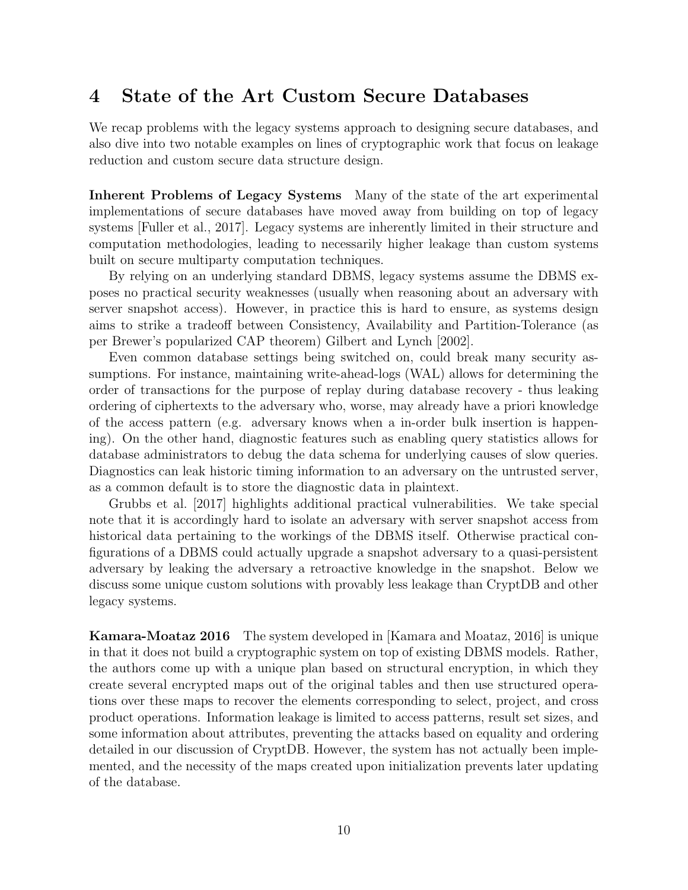# 4 State of the Art Custom Secure Databases

We recap problems with the legacy systems approach to designing secure databases, and also dive into two notable examples on lines of cryptographic work that focus on leakage reduction and custom secure data structure design.

Inherent Problems of Legacy Systems Many of the state of the art experimental implementations of secure databases have moved away from building on top of legacy systems [Fuller et al., 2017]. Legacy systems are inherently limited in their structure and computation methodologies, leading to necessarily higher leakage than custom systems built on secure multiparty computation techniques.

By relying on an underlying standard DBMS, legacy systems assume the DBMS exposes no practical security weaknesses (usually when reasoning about an adversary with server snapshot access). However, in practice this is hard to ensure, as systems design aims to strike a tradeoff between Consistency, Availability and Partition-Tolerance (as per Brewer's popularized CAP theorem) Gilbert and Lynch [2002].

Even common database settings being switched on, could break many security assumptions. For instance, maintaining write-ahead-logs (WAL) allows for determining the order of transactions for the purpose of replay during database recovery - thus leaking ordering of ciphertexts to the adversary who, worse, may already have a priori knowledge of the access pattern (e.g. adversary knows when a in-order bulk insertion is happening). On the other hand, diagnostic features such as enabling query statistics allows for database administrators to debug the data schema for underlying causes of slow queries. Diagnostics can leak historic timing information to an adversary on the untrusted server, as a common default is to store the diagnostic data in plaintext.

Grubbs et al. [2017] highlights additional practical vulnerabilities. We take special note that it is accordingly hard to isolate an adversary with server snapshot access from historical data pertaining to the workings of the DBMS itself. Otherwise practical configurations of a DBMS could actually upgrade a snapshot adversary to a quasi-persistent adversary by leaking the adversary a retroactive knowledge in the snapshot. Below we discuss some unique custom solutions with provably less leakage than CryptDB and other legacy systems.

Kamara-Moataz 2016 The system developed in [Kamara and Moataz, 2016] is unique in that it does not build a cryptographic system on top of existing DBMS models. Rather, the authors come up with a unique plan based on structural encryption, in which they create several encrypted maps out of the original tables and then use structured operations over these maps to recover the elements corresponding to select, project, and cross product operations. Information leakage is limited to access patterns, result set sizes, and some information about attributes, preventing the attacks based on equality and ordering detailed in our discussion of CryptDB. However, the system has not actually been implemented, and the necessity of the maps created upon initialization prevents later updating of the database.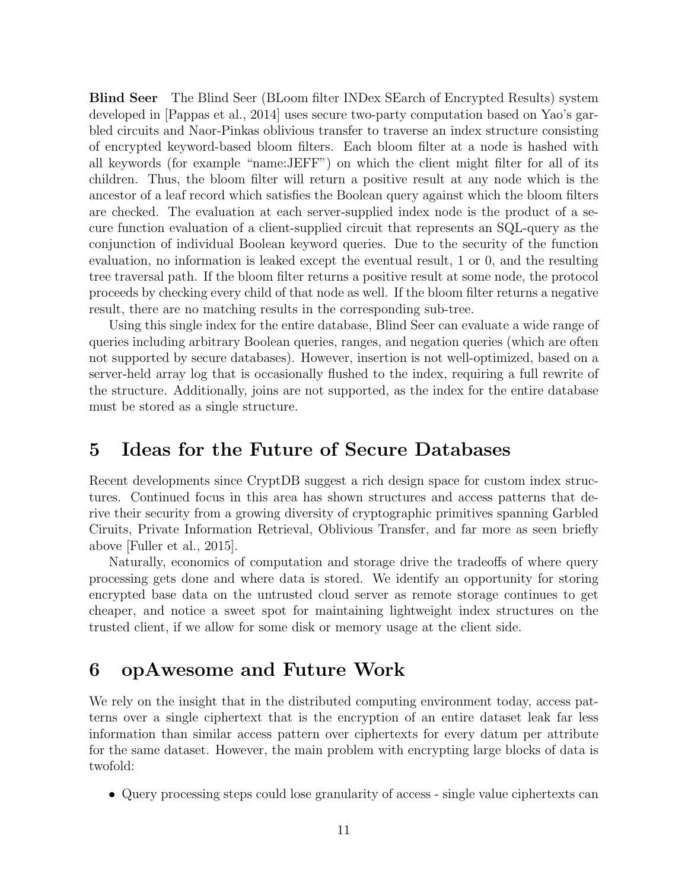Blind Seer The Blind Seer (BLoom filter INDex SEarch of Encrypted Results) system developed in [Pappas et al., 2014] uses secure two-party computation based on Yao's garbled circuits and Naor-Pinkas oblivious transfer to traverse an index structure consisting of encrypted keyword-based bloom filters. Each bloom filter at a node is hashed with all keywords (for example "name:JEFF") on which the client might filter for all of its children. Thus, the bloom filter will return a positive result at any node which is the ancestor of a leaf record which satisfies the Boolean query against which the bloom filters are checked. The evaluation at each server-supplied index node is the product of a secure function evaluation of a client-supplied circuit that represents an SQL-query as the conjunction of individual Boolean keyword queries. Due to the security of the function evaluation, no information is leaked except the eventual result, 1 or 0, and the resulting tree traversal path. If the bloom filter returns a positive result at some node, the protocol proceeds by checking every child of that node as well. If the bloom filter returns a negative result, there are no matching results in the corresponding sub-tree.

Using this single index for the entire database, Blind Seer can evaluate a wide range of queries including arbitrary Boolean queries, ranges, and negation queries (which are often not supported by secure databases). However, insertion is not well-optimized, based on a server-held array log that is occasionally flushed to the index, requiring a full rewrite of the structure. Additionally, joins are not supported, as the index for the entire database must be stored as a single structure.

# 5 Ideas for the Future of Secure Databases

Recent developments since CryptDB suggest a rich design space for custom index structures. Continued focus in this area has shown structures and access patterns that derive their security from a growing diversity of cryptographic primitives spanning Garbled Ciruits, Private Information Retrieval, Oblivious Transfer, and far more as seen briefly above [Fuller et al., 2015].

Naturally, economics of computation and storage drive the tradeoffs of where query processing gets done and where data is stored. We identify an opportunity for storing encrypted base data on the untrusted cloud server as remote storage continues to get cheaper, and notice a sweet spot for maintaining lightweight index structures on the trusted client, if we allow for some disk or memory usage at the client side.

## 6 opAwesome and Future Work

We rely on the insight that in the distributed computing environment today, access patterns over a single ciphertext that is the encryption of an entire dataset leak far less information than similar access pattern over ciphertexts for every datum per attribute for the same dataset. However, the main problem with encrypting large blocks of data is twofold:

• Query processing steps could lose granularity of access - single value ciphertexts can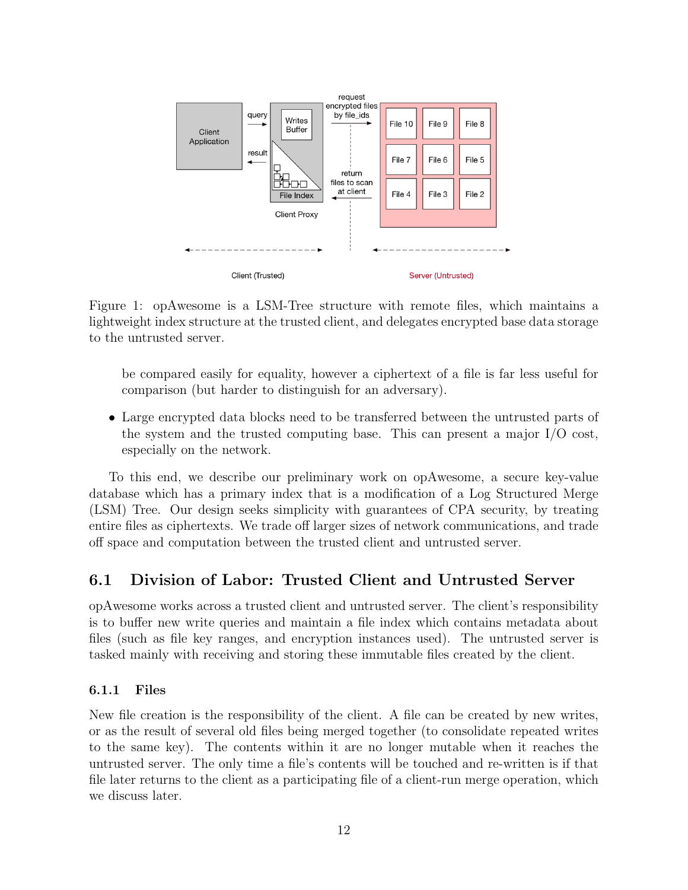

Figure 1: opAwesome is a LSM-Tree structure with remote files, which maintains a lightweight index structure at the trusted client, and delegates encrypted base data storage to the untrusted server.

be compared easily for equality, however a ciphertext of a file is far less useful for comparison (but harder to distinguish for an adversary).

• Large encrypted data blocks need to be transferred between the untrusted parts of the system and the trusted computing base. This can present a major I/O cost, especially on the network.

To this end, we describe our preliminary work on opAwesome, a secure key-value database which has a primary index that is a modification of a Log Structured Merge (LSM) Tree. Our design seeks simplicity with guarantees of CPA security, by treating entire files as ciphertexts. We trade off larger sizes of network communications, and trade off space and computation between the trusted client and untrusted server.

### 6.1 Division of Labor: Trusted Client and Untrusted Server

opAwesome works across a trusted client and untrusted server. The client's responsibility is to buffer new write queries and maintain a file index which contains metadata about files (such as file key ranges, and encryption instances used). The untrusted server is tasked mainly with receiving and storing these immutable files created by the client.

#### 6.1.1 Files

New file creation is the responsibility of the client. A file can be created by new writes, or as the result of several old files being merged together (to consolidate repeated writes to the same key). The contents within it are no longer mutable when it reaches the untrusted server. The only time a file's contents will be touched and re-written is if that file later returns to the client as a participating file of a client-run merge operation, which we discuss later.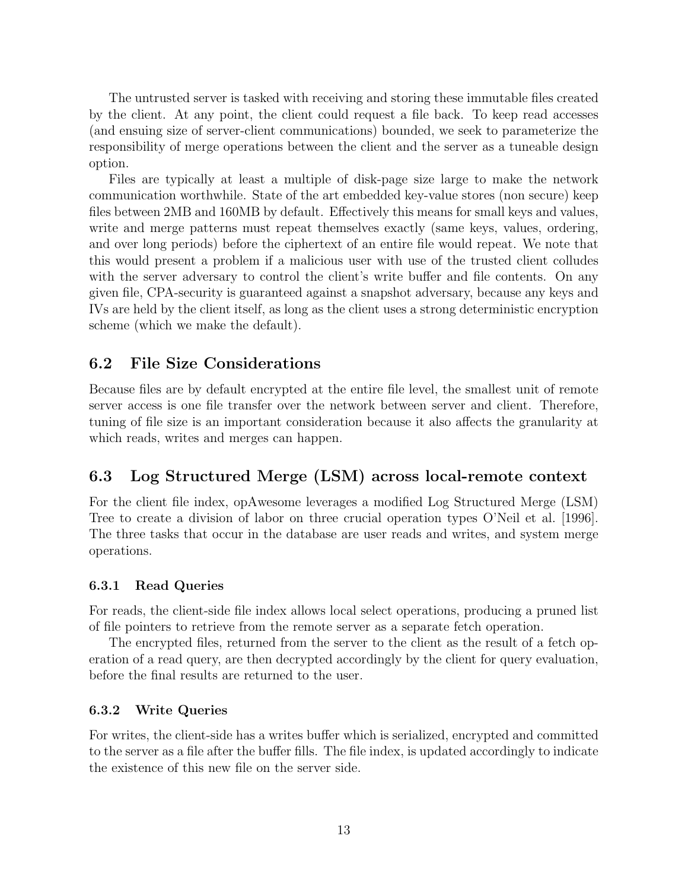The untrusted server is tasked with receiving and storing these immutable files created by the client. At any point, the client could request a file back. To keep read accesses (and ensuing size of server-client communications) bounded, we seek to parameterize the responsibility of merge operations between the client and the server as a tuneable design option.

Files are typically at least a multiple of disk-page size large to make the network communication worthwhile. State of the art embedded key-value stores (non secure) keep files between 2MB and 160MB by default. Effectively this means for small keys and values, write and merge patterns must repeat themselves exactly (same keys, values, ordering, and over long periods) before the ciphertext of an entire file would repeat. We note that this would present a problem if a malicious user with use of the trusted client colludes with the server adversary to control the client's write buffer and file contents. On any given file, CPA-security is guaranteed against a snapshot adversary, because any keys and IVs are held by the client itself, as long as the client uses a strong deterministic encryption scheme (which we make the default).

### 6.2 File Size Considerations

Because files are by default encrypted at the entire file level, the smallest unit of remote server access is one file transfer over the network between server and client. Therefore, tuning of file size is an important consideration because it also affects the granularity at which reads, writes and merges can happen.

### 6.3 Log Structured Merge (LSM) across local-remote context

For the client file index, opAwesome leverages a modified Log Structured Merge (LSM) Tree to create a division of labor on three crucial operation types O'Neil et al. [1996]. The three tasks that occur in the database are user reads and writes, and system merge operations.

#### 6.3.1 Read Queries

For reads, the client-side file index allows local select operations, producing a pruned list of file pointers to retrieve from the remote server as a separate fetch operation.

The encrypted files, returned from the server to the client as the result of a fetch operation of a read query, are then decrypted accordingly by the client for query evaluation, before the final results are returned to the user.

#### 6.3.2 Write Queries

For writes, the client-side has a writes buffer which is serialized, encrypted and committed to the server as a file after the buffer fills. The file index, is updated accordingly to indicate the existence of this new file on the server side.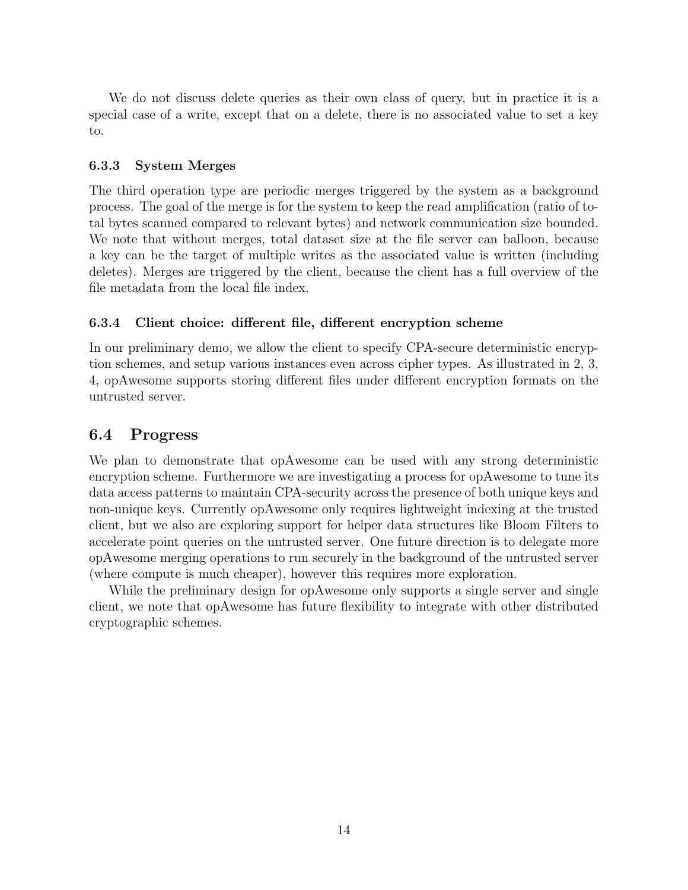We do not discuss delete queries as their own class of query, but in practice it is a special case of a write, except that on a delete, there is no associated value to set a key to.

#### 6.3.3 System Merges

The third operation type are periodic merges triggered by the system as a background process. The goal of the merge is for the system to keep the read amplification (ratio of total bytes scanned compared to relevant bytes) and network communication size bounded. We note that without merges, total dataset size at the file server can balloon, because a key can be the target of multiple writes as the associated value is written (including deletes). Merges are triggered by the client, because the client has a full overview of the file metadata from the local file index.

### 6.3.4 Client choice: different file, different encryption scheme

In our preliminary demo, we allow the client to specify CPA-secure deterministic encryption schemes, and setup various instances even across cipher types. As illustrated in 2, 3, 4, opAwesome supports storing different files under different encryption formats on the untrusted server.

### 6.4 Progress

We plan to demonstrate that opAwesome can be used with any strong deterministic encryption scheme. Furthermore we are investigating a process for opAwesome to tune its data access patterns to maintain CPA-security across the presence of both unique keys and non-unique keys. Currently opAwesome only requires lightweight indexing at the trusted client, but we also are exploring support for helper data structures like Bloom Filters to accelerate point queries on the untrusted server. One future direction is to delegate more opAwesome merging operations to run securely in the background of the untrusted server (where compute is much cheaper), however this requires more exploration.

While the preliminary design for opAwesome only supports a single server and single client, we note that opAwesome has future flexibility to integrate with other distributed cryptographic schemes.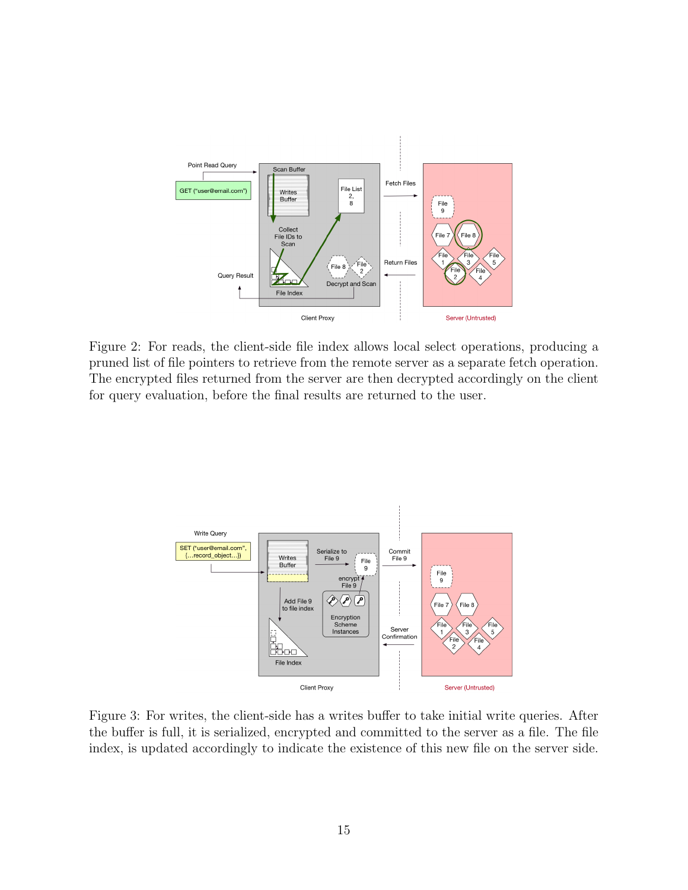

Figure 2: For reads, the client-side file index allows local select operations, producing a pruned list of file pointers to retrieve from the remote server as a separate fetch operation. The encrypted files returned from the server are then decrypted accordingly on the client for query evaluation, before the final results are returned to the user.



Figure 3: For writes, the client-side has a writes buffer to take initial write queries. After the buffer is full, it is serialized, encrypted and committed to the server as a file. The file index, is updated accordingly to indicate the existence of this new file on the server side.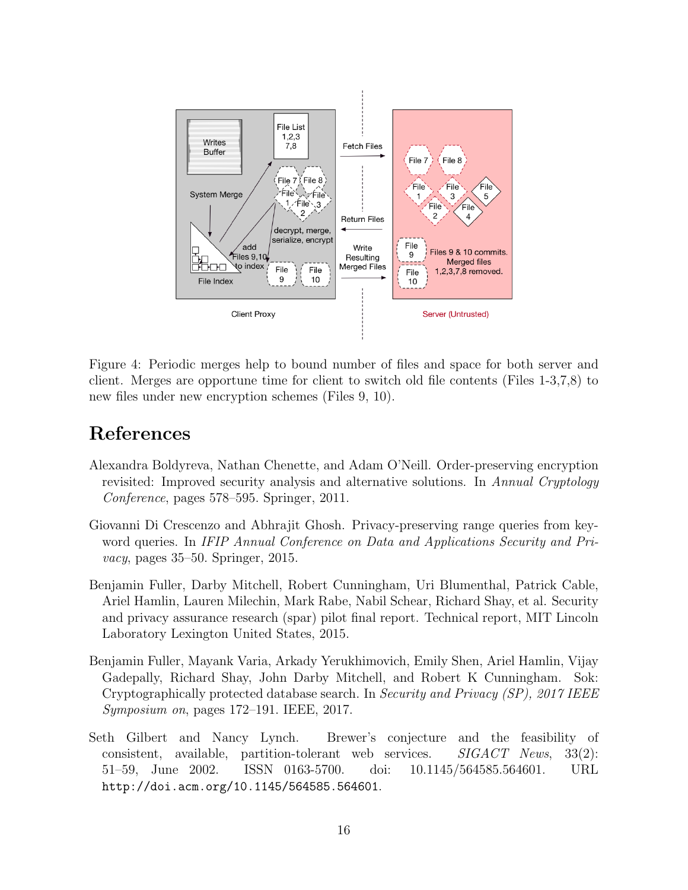

Figure 4: Periodic merges help to bound number of files and space for both server and client. Merges are opportune time for client to switch old file contents (Files 1-3,7,8) to new files under new encryption schemes (Files 9, 10).

# References

- Alexandra Boldyreva, Nathan Chenette, and Adam O'Neill. Order-preserving encryption revisited: Improved security analysis and alternative solutions. In Annual Cryptology Conference, pages 578–595. Springer, 2011.
- Giovanni Di Crescenzo and Abhrajit Ghosh. Privacy-preserving range queries from keyword queries. In IFIP Annual Conference on Data and Applications Security and Pri- $\textit{vacy}, \text{pages } 35\text{-}50. \text{ Springer}, 2015.$
- Benjamin Fuller, Darby Mitchell, Robert Cunningham, Uri Blumenthal, Patrick Cable, Ariel Hamlin, Lauren Milechin, Mark Rabe, Nabil Schear, Richard Shay, et al. Security and privacy assurance research (spar) pilot final report. Technical report, MIT Lincoln Laboratory Lexington United States, 2015.
- Benjamin Fuller, Mayank Varia, Arkady Yerukhimovich, Emily Shen, Ariel Hamlin, Vijay Gadepally, Richard Shay, John Darby Mitchell, and Robert K Cunningham. Sok: Cryptographically protected database search. In Security and Privacy (SP), 2017 IEEE Symposium on, pages 172–191. IEEE, 2017.
- Seth Gilbert and Nancy Lynch. Brewer's conjecture and the feasibility of consistent, available, partition-tolerant web services. SIGACT News, 33(2): 51–59, June 2002. ISSN 0163-5700. doi: 10.1145/564585.564601. URL http://doi.acm.org/10.1145/564585.564601.